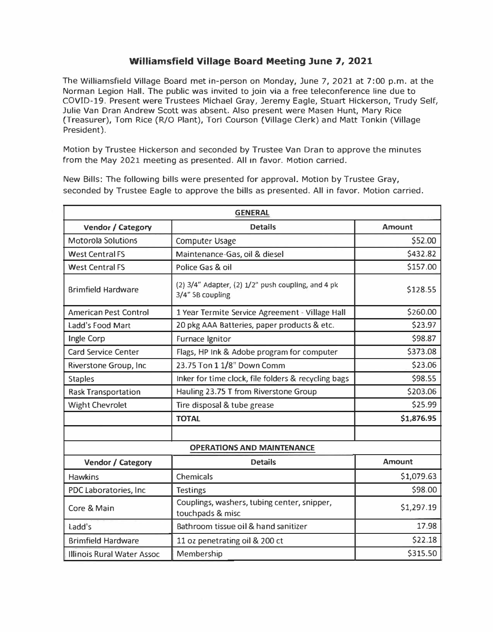## **Williamsfield Village Board Meeting June 7, 2021**

The Williamsfield Village Board met in-person on Monday, June 7, 2021 at 7:00 p.m. at the Norman Legion Hall. The public was invited to join via a free teleconference line due to COVID-19. Present were Trustees Michael Gray, Jeremy Eagle, Stuart Hickerson, Trudy Self, Julie Van Oran Andrew Scott was absent. Also present were Masen Hunt, Mary Rice (Treasurer), Tom Rice (R/0 Plant), Tori Courson (Village Clerk) and Matt Tonkin (Village President).

Motion by Trustee Hickerson and seconded by Trustee Van Oran to approve the minutes from the May 2021 meeting as presented. All in favor. Motion carried.

New Bills: The following bills were presented for approval. Motion by Trustee Gray, seconded by Trustee Eagle to approve the bills as presented. All in favor. Motion carried.

| <b>GENERAL</b>                    |                                                                              |               |  |  |
|-----------------------------------|------------------------------------------------------------------------------|---------------|--|--|
| Vendor / Category                 | <b>Details</b>                                                               | <b>Amount</b> |  |  |
| <b>Motorola Solutions</b>         | Computer Usage                                                               | \$52.00       |  |  |
| <b>West Central FS</b>            | Maintenance-Gas, oil & diesel                                                | \$432.82      |  |  |
| <b>West Central FS</b>            | Police Gas & oil                                                             | \$157.00      |  |  |
| <b>Brimfield Hardware</b>         | (2) $3/4$ " Adapter, (2) $1/2$ " push coupling, and 4 pk<br>3/4" SB coupling | \$128.55      |  |  |
| <b>American Pest Control</b>      | 1 Year Termite Service Agreement - Village Hall                              | \$260.00      |  |  |
| Ladd's Food Mart                  | 20 pkg AAA Batteries, paper products & etc.                                  | \$23.97       |  |  |
| Ingle Corp                        | Furnace Ignitor                                                              | \$98.87       |  |  |
| <b>Card Service Center</b>        | Flags, HP Ink & Adobe program for computer                                   | \$373.08      |  |  |
| Riverstone Group, Inc.            | 23.75 Ton 1 1/8" Down Comm                                                   | \$23.06       |  |  |
| <b>Staples</b>                    | Inker for time clock, file folders & recycling bags                          | \$98.55       |  |  |
| <b>Rask Transportation</b>        | Hauling 23.75 T from Riverstone Group                                        | \$203.06      |  |  |
| <b>Wight Chevrolet</b>            | Tire disposal & tube grease                                                  | \$25.99       |  |  |
|                                   | <b>TOTAL</b>                                                                 | \$1,876.95    |  |  |
|                                   |                                                                              |               |  |  |
| <b>OPERATIONS AND MAINTENANCE</b> |                                                                              |               |  |  |
| <b>Vendor / Category</b>          | <b>Details</b>                                                               | <b>Amount</b> |  |  |
| <b>Hawkins</b>                    | Chemicals                                                                    | \$1,079.63    |  |  |
| PDC Laboratories, Inc.            | <b>Testings</b>                                                              | \$98.00       |  |  |
| Core & Main                       | Couplings, washers, tubing center, snipper,<br>touchpads & misc              | \$1,297.19    |  |  |
| Ladd's                            | Bathroom tissue oil & hand sanitizer                                         | 17.98         |  |  |
| <b>Brimfield Hardware</b>         | 11 oz penetrating oil & 200 ct                                               | \$22.18       |  |  |
| Illinois Rural Water Assoc        | Membership                                                                   | \$315.50      |  |  |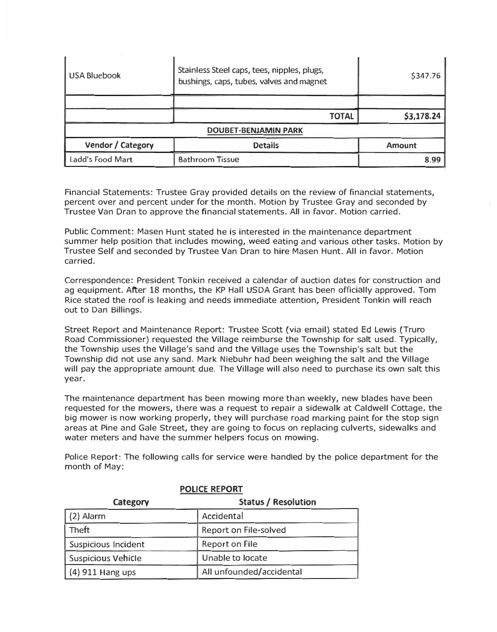| USA Bluebook                | Stainless Steel caps, tees, nipples, plugs,<br>bushings, caps, tubes, valves and magnet | \$347.76      |  |  |
|-----------------------------|-----------------------------------------------------------------------------------------|---------------|--|--|
|                             |                                                                                         |               |  |  |
|                             | <b>TOTAL</b>                                                                            | \$3,178.24    |  |  |
| <b>DOUBET-BENJAMIN PARK</b> |                                                                                         |               |  |  |
| Vendor / Category           | <b>Details</b>                                                                          | <b>Amount</b> |  |  |
| Ladd's Food Mart            | <b>Bathroom Tissue</b>                                                                  | 8.99          |  |  |

Financial Statements: Trustee Gray provided details on the review of financial statements, percent over and percent under for the month. Motion by Trustee Gray and seconded by Trustee Van Oran to approve the financial statements. All in favor. Motion carried.

Public Comment: Masen Hunt stated he is interested in the maintenance department summer help position that includes mowing, weed eating and various other tasks. Motion by Trustee Self and seconded by Trustee Van Oran to hire Masen Hunt. All in favor. Motion carried.

Correspondence: President Tonkin received a calendar of auction dates for construction and ag equipment. After 18 months, the KP Hall USDA Grant has been officially approved. Tom Rice stated the roof is leaking and needs immediate attention, President Tonkin will reach out to Dan Billings.

Street Report and Maintenance Report: Trustee Scott (via email) stated Ed Lewis (Truro Road Commissioner) requested the Village reimburse the Township for salt used. Typically, the Township uses the Village's sand and the Village uses the Township's salt but the Township did not use any sand. Mark Niebuhr had been weighing the salt and the Village will pay the appropriate amount due. The Village will also need to purchase its own salt this year.

The maintenance department has been mowing more than weekly, new blades have been requested for the mowers, there was a request to repair a sidewalk at Caldwell Cottage, the big mower is now working properly, they will purchase road marking paint for the stop sign areas at Pine and Gale Street, they are going to focus on replacing culverts, sidewalks and water meters and have the summer helpers focus on mowing.

Police Report: The following calls for service were handled by the police department for the month of May:

| Category                  | <b>Status / Resolution</b> |  |
|---------------------------|----------------------------|--|
| $(2)$ Alarm               | Accidental                 |  |
| <b>Theft</b>              | Report on File-solved      |  |
| Suspicious Incident       | <b>Report on File</b>      |  |
| <b>Suspicious Vehicle</b> | Unable to locate           |  |
| (4) 911 Hang ups          | All unfounded/accidental   |  |

**POLICE REPORT**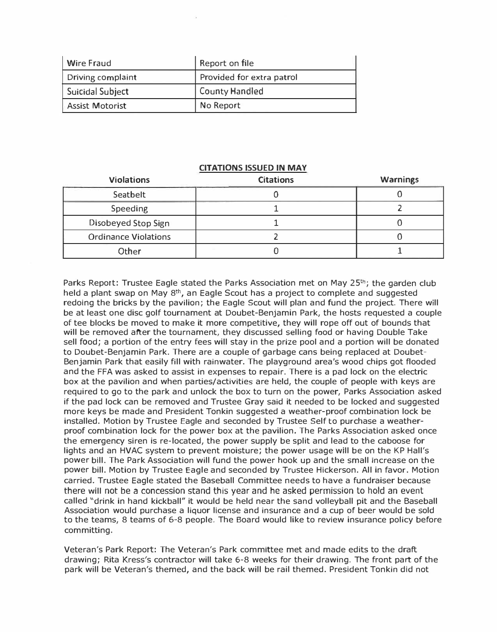| Wire Fraud             | Report on file            |
|------------------------|---------------------------|
| Driving complaint      | Provided for extra patrol |
| Suicidal Subject       | <b>County Handled</b>     |
| <b>Assist Motorist</b> | No Report                 |

## **CITATIONS ISSUED IN MAY**

| <b>Violations</b>           | <b>Citations</b> | <b>Warnings</b> |
|-----------------------------|------------------|-----------------|
| Seatbelt                    |                  |                 |
| <b>Speeding</b>             |                  |                 |
| Disobeyed Stop Sign         |                  |                 |
| <b>Ordinance Violations</b> |                  |                 |
| Other                       |                  |                 |

Parks Report: Trustee Eagle stated the Parks Association met on May  $25^{th}$ ; the garden club held a plant swap on May  $8<sup>th</sup>$ , an Eagle Scout has a project to complete and suggested redoing the bricks by the pavilion; the Eagle Scout will plan and fund the project. There will be at least one disc golf tournament at Doubet-Benjamin Park, the hosts requested a couple of tee blocks be moved to make it more competitive, they will rope off out of bounds that will be removed after the tournament, they discussed selling food or having Double Take sell food; a portion of the entry fees will stay in the prize pool and a portion will be donated to Doubet-Benjamin Park. There are a couple of garbage cans being replaced at Doubet-Benjamin Park that easily fill with rainwater. The playground area's wood chips got flooded and the FFA was asked to assist in expenses to repair. There is a pad lock on the electric box at the pavilion and when parties/activities are held, the couple of people with keys are required to go to the park and unlock the box to turn on the power, Parks Association asked if the pad lock can be removed and Trustee Gray said it needed to be locked and suggested more keys be made and President Tonkin suggested a weather-proof combination lock be installed. Motion by Trustee Eagle and seconded by Trustee Self to purchase a weatherproof combination lock for the power box at the pavilion. The Parks Association asked once the emergency siren is re-located, the power supply be split and lead to the caboose for lights and an HVAC system to prevent moisture; the power usage will be on the KP Hall's power bill. The Park Association will fund the power hook up and the small increase on the power bill. Motion by Trustee Eagle and seconded by Trustee Hickerson. All in favor. Motion carried. Trustee Eagle stated the Baseball Committee needs to have a fundraiser because **there** will **not be** a **concession stand this year and he asked permission to hold an event**  called "drink in hand kickball" it would be held near the sand volleyball pit and the Baseball Association would purchase a liquor license and insurance and a cup of beer would be sold to the teams, 8 teams of 6-8 people. The Board would like to review insurance policy before committing.

Veteran's Park Report: The Veteran's Park committee met and made edits to the draft drawing; Rita Kress's contractor will take 6-8 weeks for their drawing. The front part of the park will be Veteran's themed, and the back will be rail themed. President Tonkin did not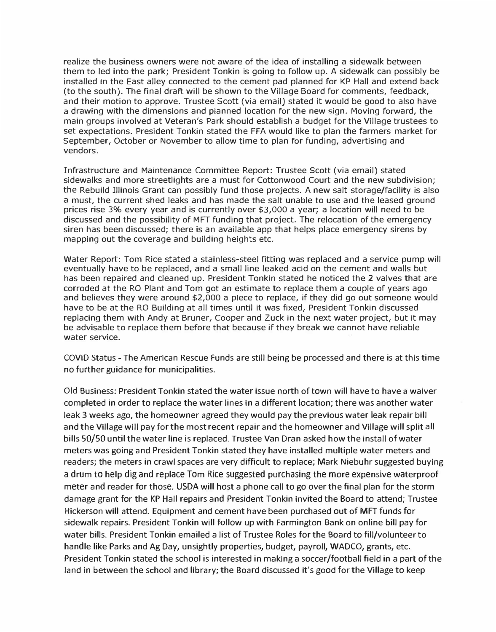**realize the business owners were not aware of the idea of installing a sidewalk between them to led into the park; President Tonkin is going to follow up. A sidewalk can possibly be installed in the East alley connected to the cement pad planned for KP Hall and extend back (to the south). The final draft will be shown to the Village Board for comments, feedback, and their motion to approve. Trustee Scott (via email) stated it would be good to also have a drawing with the dimensions and planned location for the new sign. Moving forward, the main groups involved at Veteran's Park should establish a budget for the Village trustees to set expectations. President Tonkin stated the FFA would like to plan the farmers market for September, October or November to allow time to plan for funding, advertising and vendors.** 

**Infrastructure and Maintenance Committee Report: Trustee Scott (via email) stated sidewalks and more streetlights are a must for Cottonwood Court and the new subdivision; the Rebuild Illinois Grant can possibly fund those projects. A new salt storage/facility is also a must, the current shed leaks and has made the salt unable to use and the leased ground prices rise 3% every year and is currently over \$3,000 a year; a location will need to be discussed and the possibility of MFT funding that project. The relocation of the emergency siren has been discussed; there is an available app that helps place emergency sirens by mapping out the coverage and building heights etc.** 

**Water Report: Tom Rice stated a stainless-steel fitting was replaced and a service pump will eventually have to be replaced, and a small line leaked acid on the cement and walls but has been repaired and cleaned up. President Tonkin stated he noticed the 2 valves that are corroded at the RO Plant and Tom got an estimate to replace them a couple of years ago and believes they were around \$2,000 a piece to replace, if they did go out someone would have to be at the RO Building at all times until it was fixed, President Tonkin discussed replacing them with Andy at Bruner, Cooper and Zuck in the next water project, but it may be advisable to replace them before that because if they break we cannot have reliable water service.** 

**COVID Status - The American Rescue Funds are still being be processed and there is at this time no further guidance for municipalities.** 

**Old Business: President Tonkin stated the water issue north of town will have to have a waiver completed in order to replace the water lines in a different location; there was another water leak 3 weeks ago, the homeowner agreed they would pay the previous water leak repair bill and the Village will pay for the most recent repair and the homeowner and Village will split all bills 50/50 until the water line is replaced. Trustee Van Dran asked how the install of water meters was going and President Tonkin stated they have installed multiple water meters and readers; the meters in crawl spaces are very difficult to replace; Mark Niebuhr suggested buying a drum to help dig and replace Tom Rice suggested purchasing the more expensive waterproof meter and reader for those. USDA will host a phone call to go over the final plan for the storm damage grant for the KP Hall repairs and President Tonkin invited the Board to attend; Trustee Hickerson will attend. Equipment and cement have been purchased out of MFT funds for sidewalk repairs. President Tonkin will follow up with Farmington Bank on online bill pay for water bills. President Tonkin emailed a list of Trustee Roles for the Board to fill/volunteer to handle like Parks and Ag Day, unsightly properties, budget, payroll, WADCO, grants, etc. President Tonkin stated the school is interested in making a soccer/football field in a part of the land in between the school and library; the Board discussed it's good for the Village to keep**